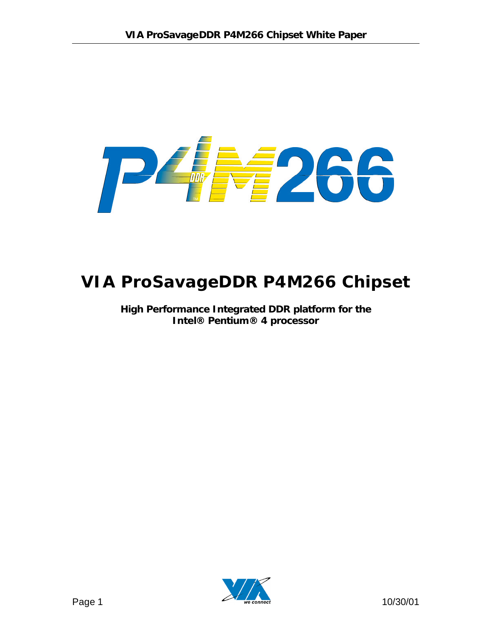# **2266** T  $\frac{1}{\sqrt{2}}$

## **VIA ProSavageDDR P4M266 Chipset**

**High Performance Integrated DDR platform for the Intel® Pentium® 4 processor**

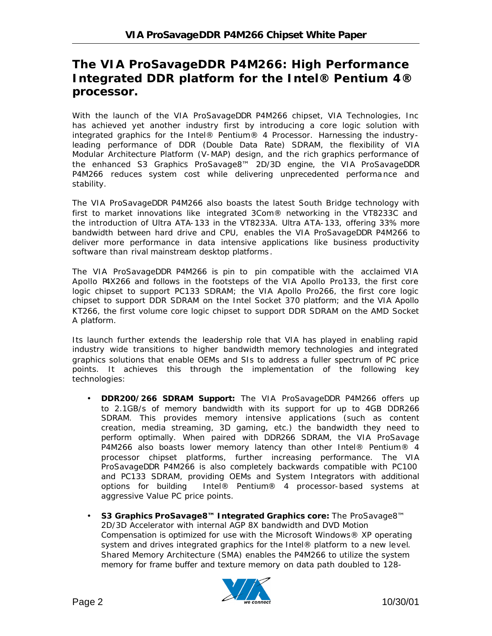## **The VIA ProSavageDDR P4M266: High Performance Integrated DDR platform for the Intel® Pentium 4® processor.**

With the launch of the VIA ProSavageDDR P4M266 chipset, VIA Technologies, Inc has achieved yet another industry first by introducing a core logic solution with integrated graphics for the Intel® Pentium® 4 Processor. Harnessing the industryleading performance of DDR (Double Data Rate) SDRAM, the flexibility of VIA Modular Architecture Platform (V-MAP) design, and the rich graphics performance of the enhanced S3 Graphics ProSavage8™ 2D/3D engine, the VIA ProSavageDDR P4M266 reduces system cost while delivering unprecedented performance and stability.

The VIA ProSavageDDR P4M266 also boasts the latest South Bridge technology with first to market innovations like integrated 3Com® networking in the VT8233C and the introduction of Ultra ATA-133 in the VT8233A. Ultra ATA-133, offering 33% more bandwidth between hard drive and CPU, enables the VIA ProSavageDDR P4M266 to deliver more performance in data intensive applications like business productivity software than rival mainstream desktop platforms .

The VIA ProSavageDDR P4M266 is pin to pin compatible with the acclaimed VIA Apollo P4X266 and follows in the footsteps of the VIA Apollo Pro133, the first core logic chipset to support PC133 SDRAM; the VIA Apollo Pro266, the first core logic chipset to support DDR SDRAM on the Intel Socket 370 platform; and the VIA Apollo KT266, the first volume core logic chipset to support DDR SDRAM on the AMD Socket A platform.

Its launch further extends the leadership role that VIA has played in enabling rapid industry wide transitions to higher bandwidth memory technologies and integrated graphics solutions that enable OEMs and SIs to address a fuller spectrum of PC price points. It achieves this through the implementation of the following key technologies:

- **DDR200/266 SDRAM Support:** The VIA ProSavageDDR P4M266 offers up to 2.1GB/s of memory bandwidth with its support for up to 4GB DDR266 SDRAM. This provides memory intensive applications (such as content creation, media streaming, 3D gaming, etc.) the bandwidth they need to perform optimally. When paired with DDR266 SDRAM, the VIA ProSavage P4M266 also boasts lower memory latency than other Intel® Pentium® 4 processor chipset platforms, further increasing performance. The VIA ProSavageDDR P4M266 is also completely backwards compatible with PC100 and PC133 SDRAM, providing OEMs and System Integrators with additional options for building Intel® Pentium® 4 processor-based systems at aggressive Value PC price points.
- **S3 Graphics ProSavage8™ Integrated Graphics core:** The ProSavage8™ 2D/3D Accelerator with internal AGP 8X bandwidth and DVD Motion Compensation is optimized for use with the Microsoft Windows® XP operating system and drives integrated graphics for the Intel® platform to a new level. Shared Memory Architecture (SMA) enables the P4M266 to utilize the system memory for frame buffer and texture memory on data path doubled to 128-

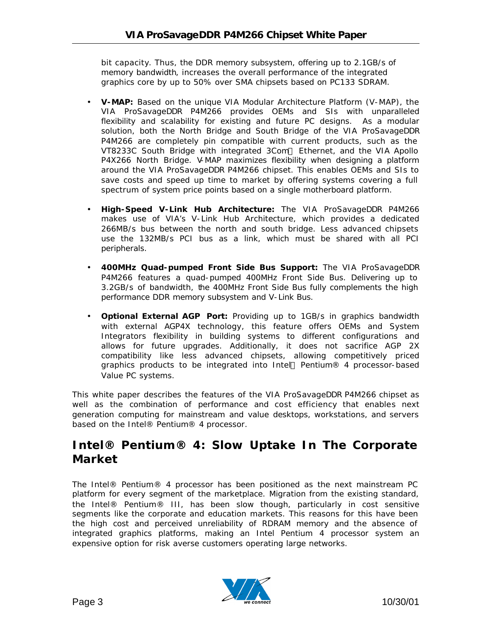bit capacity. Thus, the DDR memory subsystem, offering up to 2.1GB/s of memory bandwidth, increases the overall performance of the integrated graphics core by up to 50% over SMA chipsets based on PC133 SDRAM.

- **V-MAP:** Based on the unique VIA Modular Architecture Platform (V-MAP), the VIA ProSavageDDR P4M266 provides OEMs and SIs with unparalleled flexibility and scalability for existing and future PC designs. As a modular solution, both the North Bridge and South Bridge of the VIA ProSavageDDR P4M266 are completely pin compatible with current products, such as the VT8233C South Bridge with integrated 3Com® Ethernet, and the VIA Apollo P4X266 North Bridge. V-MAP maximizes flexibility when designing a platform around the VIA ProSavageDDR P4M266 chipset. This enables OEMs and SIs to save costs and speed up time to market by offering systems covering a full spectrum of system price points based on a single motherboard platform.
- **High-Speed V-Link Hub Architecture:** The VIA ProSavageDDR P4M266 makes use of VIA's V-Link Hub Architecture, which provides a dedicated 266MB/s bus between the north and south bridge. Less advanced chipsets use the 132MB/s PCI bus as a link, which must be shared with all PCI peripherals.
- **400MHz Quad-pumped Front Side Bus Support:** The VIA ProSavageDDR P4M266 features a quad-pumped 400MHz Front Side Bus. Delivering up to 3.2GB/s of bandwidth, the 400MHz Front Side Bus fully complements the high performance DDR memory subsystem and V-Link Bus.
- **Optional External AGP Port:** Providing up to 1GB/s in graphics bandwidth with external AGP4X technology, this feature offers OEMs and System Integrators flexibility in building systems to different configurations and allows for future upgrades. Additionally, it does not sacrifice AGP 2X compatibility like less advanced chipsets, allowing competitively priced graphics products to be integrated into Intel® Pentium® 4 processor-based Value PC systems.

This white paper describes the features of the VIA ProSavageDDR P4M266 chipset as well as the combination of performance and cost efficiency that enables next generation computing for mainstream and value desktops, workstations, and servers based on the Intel® Pentium® 4 processor.

## **Intel® Pentium® 4: Slow Uptake In The Corporate Market**

The Intel® Pentium® 4 processor has been positioned as the next mainstream PC platform for every segment of the marketplace. Migration from the existing standard, the Intel® Pentium® III, has been slow though, particularly in cost sensitive segments like the corporate and education markets. This reasons for this have been the high cost and perceived unreliability of RDRAM memory and the absence of integrated graphics platforms, making an Intel Pentium 4 processor system an expensive option for risk averse customers operating large networks.

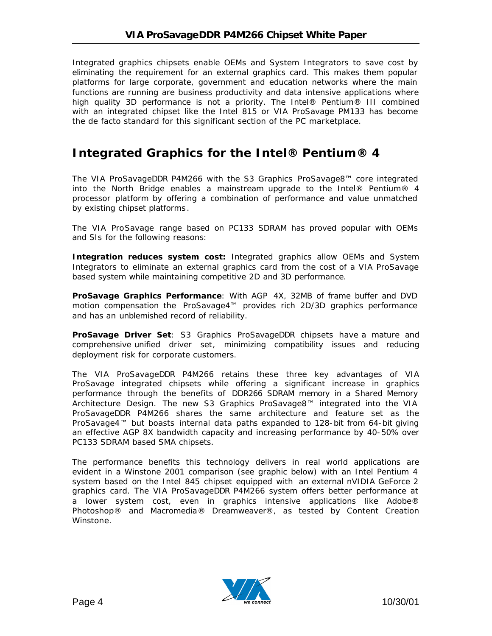Integrated graphics chipsets enable OEMs and System Integrators to save cost by eliminating the requirement for an external graphics card. This makes them popular platforms for large corporate, government and education networks where the main functions are running are business productivity and data intensive applications where high quality 3D performance is not a priority. The Intel® Pentium® III combined with an integrated chipset like the Intel 815 or VIA ProSavage PM133 has become the de facto standard for this significant section of the PC marketplace.

## **Integrated Graphics for the Intel® Pentium® 4**

The VIA ProSavageDDR P4M266 with the S3 Graphics ProSavage8™ core integrated into the North Bridge enables a mainstream upgrade to the Intel® Pentium® 4 processor platform by offering a combination of performance and value unmatched by existing chipset platforms .

The VIA ProSavage range based on PC133 SDRAM has proved popular with OEMs and SIs for the following reasons:

**Integration reduces system cost:** Integrated graphics allow OEMs and System Integrators to eliminate an external graphics card from the cost of a VIA ProSavage based system while maintaining competitive 2D and 3D performance.

**ProSavage Graphics Performance**: With AGP 4X, 32MB of frame buffer and DVD motion compensation the ProSavage4™ provides rich 2D/3D graphics performance and has an unblemished record of reliability.

**ProSavage Driver Set**: S3 Graphics ProSavageDDR chipsets have a mature and comprehensive unified driver set, minimizing compatibility issues and reducing deployment risk for corporate customers.

The VIA ProSavageDDR P4M266 retains these three key advantages of VIA ProSavage integrated chipsets while offering a significant increase in graphics performance through the benefits of DDR266 SDRAM memory in a Shared Memory Architecture Design. The new S3 Graphics ProSavage8™ integrated into the VIA ProSavageDDR P4M266 shares the same architecture and feature set as the ProSavage4™ but boasts internal data paths expanded to 128-bit from 64-bit giving an effective AGP 8X bandwidth capacity and increasing performance by 40-50% over PC133 SDRAM based SMA chipsets.

The performance benefits this technology delivers in real world applications are evident in a Winstone 2001 comparison (see graphic below) with an Intel Pentium 4 system based on the Intel 845 chipset equipped with an external nVIDIA GeForce 2 graphics card. The VIA ProSavageDDR P4M266 system offers better performance at a lower system cost, even in graphics intensive applications like Adobe® Photoshop® and Macromedia® Dreamweaver®, as tested by Content Creation Winstone.

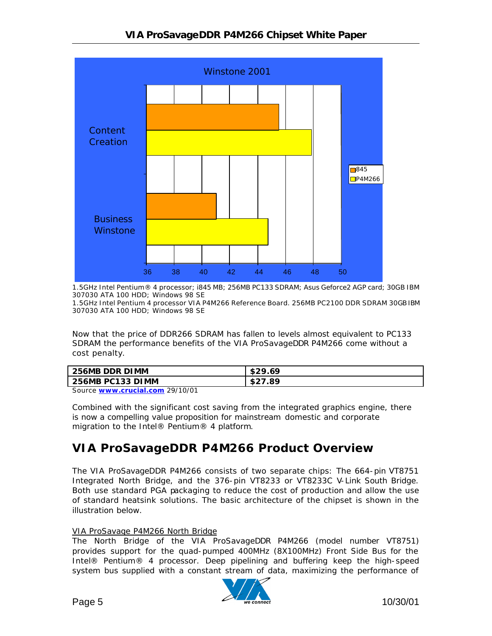

1.5GHz Intel Pentium® 4 processor; i845 MB; 256MB PC133 SDRAM; Asus Geforce2 AGP card; 30GB IBM 307030 ATA 100 HDD; Windows 98 SE

1.5GHz Intel Pentium 4 processor VIA P4M266 Reference Board. 256MB PC2100 DDR SDRAM 30GB IBM 307030 ATA 100 HDD; Windows 98 SE

Now that the price of DDR266 SDRAM has fallen to levels almost equivalent to PC133 SDRAM the performance benefits of the VIA ProSavageDDR P4M266 come without a cost penalty.

| 256MB DDR DIMM   | \$29.69 |
|------------------|---------|
| 256MB PC133 DIMM | \$27.89 |
| --------<br>--   |         |

Source **www.crucial.com** 29/10/01

Combined with the significant cost saving from the integrated graphics engine, there is now a compelling value proposition for mainstream domestic and corporate migration to the Intel® Pentium® 4 platform.

## **VIA ProSavageDDR P4M266 Product Overview**

The VIA ProSavageDDR P4M266 consists of two separate chips: The 664-pin VT8751 Integrated North Bridge, and the 376-pin VT8233 or VT8233C V-Link South Bridge. Both use standard PGA packaging to reduce the cost of production and allow the use of standard heatsink solutions. The basic architecture of the chipset is shown in the illustration below.

#### VIA ProSavage P4M266 North Bridge

The North Bridge of the VIA ProSavageDDR P4M266 (model number VT8751) provides support for the quad-pumped 400MHz (8X100MHz) Front Side Bus for the Intel® Pentium® 4 processor. Deep pipelining and buffering keep the high-speed system bus supplied with a constant stream of data, maximizing the performance of

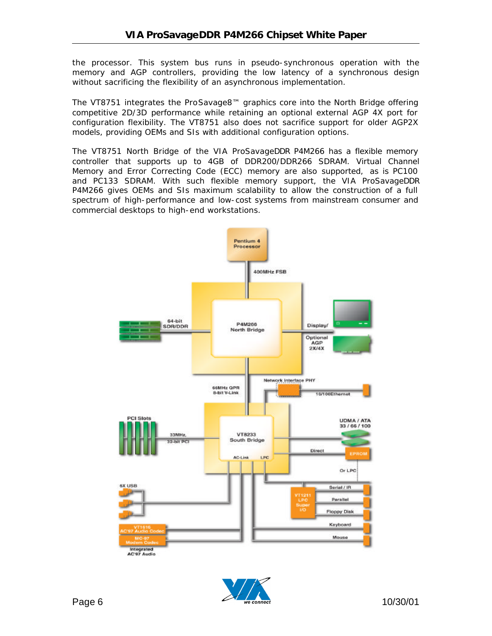the processor. This system bus runs in pseudo-synchronous operation with the memory and AGP controllers, providing the low latency of a synchronous design without sacrificing the flexibility of an asynchronous implementation.

The VT8751 integrates the ProSavage8™ graphics core into the North Bridge offering competitive 2D/3D performance while retaining an optional external AGP 4X port for configuration flexibility. The VT8751 also does not sacrifice support for older AGP2X models, providing OEMs and SIs with additional configuration options.

The VT8751 North Bridge of the VIA ProSavageDDR P4M266 has a flexible memory controller that supports up to 4GB of DDR200/DDR266 SDRAM. Virtual Channel Memory and Error Correcting Code (ECC) memory are also supported, as is PC100 and PC133 SDRAM. With such flexible memory support, the VIA ProSavageDDR P4M266 gives OEMs and SIs maximum scalability to allow the construction of a full spectrum of high-performance and low-cost systems from mainstream consumer and commercial desktops to high-end workstations.



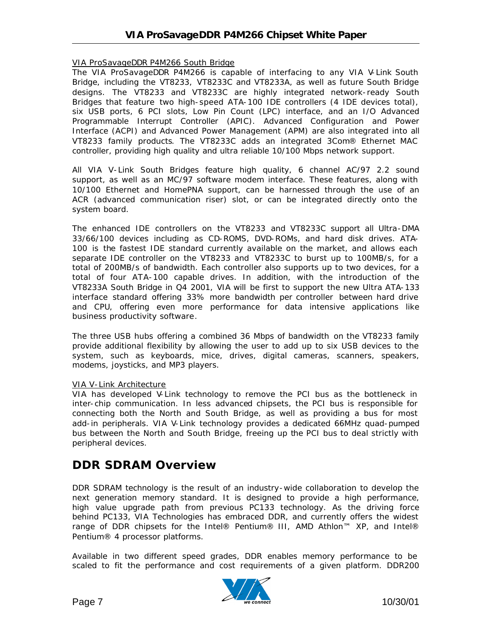#### VIA ProSavageDDR P4M266 South Bridge

The VIA ProSavageDDR P4M266 is capable of interfacing to any VIA V-Link South Bridge, including the VT8233, VT8233C and VT8233A, as well as future South Bridge designs. The VT8233 and VT8233C are highly integrated network-ready South Bridges that feature two high-speed ATA-100 IDE controllers (4 IDE devices total), six USB ports, 6 PCI slots, Low Pin Count (LPC) interface, and an I/O Advanced Programmable Interrupt Controller (APIC). Advanced Configuration and Power Interface (ACPI) and Advanced Power Management (APM) are also integrated into all VT8233 family products. The VT8233C adds an integrated 3Com® Ethernet MAC controller, providing high quality and ultra reliable 10/100 Mbps network support.

All VIA V-Link South Bridges feature high quality, 6 channel AC/97 2.2 sound support, as well as an MC/97 software modem interface. These features, along with 10/100 Ethernet and HomePNA support, can be harnessed through the use of an ACR (advanced communication riser) slot, or can be integrated directly onto the system board.

The enhanced IDE controllers on the VT8233 and VT8233C support all Ultra-DMA 33/66/100 devices including as CD-ROMS, DVD-ROMs, and hard disk drives. ATA-100 is the fastest IDE standard currently available on the market, and allows each separate IDE controller on the VT8233 and VT8233C to burst up to 100MB/s, for a total of 200MB/s of bandwidth. Each controller also supports up to two devices, for a total of four ATA-100 capable drives. In addition, with the introduction of the VT8233A South Bridge in Q4 2001, VIA will be first to support the new Ultra ATA-133 interface standard offering 33% more bandwidth per controller between hard drive and CPU, offering even more performance for data intensive applications like business productivity software.

The three USB hubs offering a combined 36 Mbps of bandwidth on the VT8233 family provide additional flexibility by allowing the user to add up to six USB devices to the system, such as keyboards, mice, drives, digital cameras, scanners, speakers, modems, joysticks, and MP3 players.

#### VIA V-Link Architecture

VIA has developed V-Link technology to remove the PCI bus as the bottleneck in inter-chip communication. In less advanced chipsets, the PCI bus is responsible for connecting both the North and South Bridge, as well as providing a bus for most add-in peripherals. VIA V-Link technology provides a dedicated 66MHz quad-pumped bus between the North and South Bridge, freeing up the PCI bus to deal strictly with peripheral devices.

### **DDR SDRAM Overview**

DDR SDRAM technology is the result of an industry-wide collaboration to develop the next generation memory standard. It is designed to provide a high performance, high value upgrade path from previous PC133 technology. As the driving force behind PC133, VIA Technologies has embraced DDR, and currently offers the widest range of DDR chipsets for the Intel® Pentium® III, AMD Athlon™ XP, and Intel® Pentium® 4 processor platforms.

Available in two different speed grades, DDR enables memory performance to be scaled to fit the performance and cost requirements of a given platform. DDR200

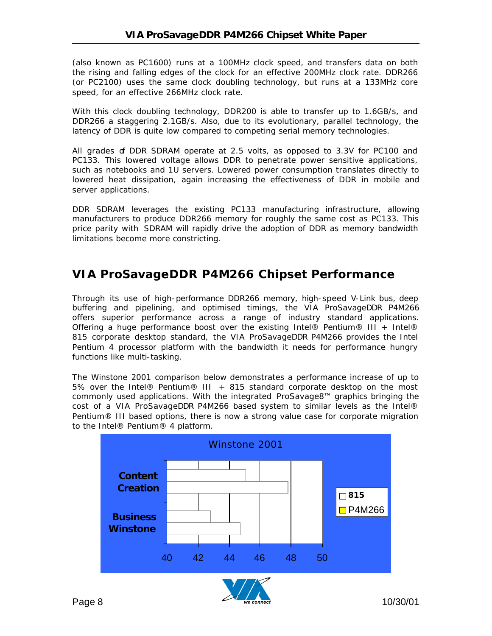(also known as PC1600) runs at a 100MHz clock speed, and transfers data on both the rising and falling edges of the clock for an effective 200MHz clock rate. DDR266 (or PC2100) uses the same clock doubling technology, but runs at a 133MHz core speed, for an effective 266MHz clock rate.

With this clock doubling technology, DDR200 is able to transfer up to 1.6GB/s, and DDR266 a staggering 2.1GB/s. Also, due to its evolutionary, parallel technology, the latency of DDR is quite low compared to competing serial memory technologies.

All grades of DDR SDRAM operate at 2.5 volts, as opposed to 3.3V for PC100 and PC133. This lowered voltage allows DDR to penetrate power sensitive applications, such as notebooks and 1U servers. Lowered power consumption translates directly to lowered heat dissipation, again increasing the effectiveness of DDR in mobile and server applications.

DDR SDRAM leverages the existing PC133 manufacturing infrastructure, allowing manufacturers to produce DDR266 memory for roughly the same cost as PC133. This price parity with SDRAM will rapidly drive the adoption of DDR as memory bandwidth limitations become more constricting.

## **VIA ProSavageDDR P4M266 Chipset Performance**

Through its use of high-performance DDR266 memory, high-speed V-Link bus, deep buffering and pipelining, and optimised timings, the VIA ProSavageDDR P4M266 offers superior performance across a range of industry standard applications. Offering a huge performance boost over the existing Intel® Pentium® III + Intel® 815 corporate desktop standard, the VIA ProSavageDDR P4M266 provides the Intel Pentium 4 processor platform with the bandwidth it needs for performance hungry functions like multi-tasking.

The Winstone 2001 comparison below demonstrates a performance increase of up to 5% over the Intel® Pentium® III + 815 standard corporate desktop on the most commonly used applications. With the integrated ProSavage8™ graphics bringing the cost of a VIA ProSavageDDR P4M266 based system to similar levels as the Intel® Pentium® III based options, there is now a strong value case for corporate migration to the Intel® Pentium® 4 platform.

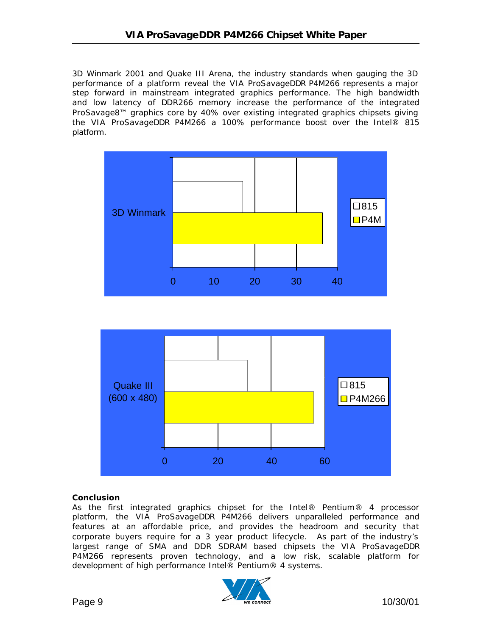3D Winmark 2001 and Quake III Arena, the industry standards when gauging the 3D performance of a platform reveal the VIA ProSavageDDR P4M266 represents a major step forward in mainstream integrated graphics performance. The high bandwidth and low latency of DDR266 memory increase the performance of the integrated ProSavage8™ graphics core by 40% over existing integrated graphics chipsets giving the VIA ProSavageDDR P4M266 a 100% performance boost over the Intel® 815 platform.





#### **Conclusion**

As the first integrated graphics chipset for the Intel® Pentium® 4 processor platform, the VIA ProSavageDDR P4M266 delivers unparalleled performance and features at an affordable price, and provides the headroom and security that corporate buyers require for a 3 year product lifecycle. As part of the industry's largest range of SMA and DDR SDRAM based chipsets the VIA ProSavageDDR P4M266 represents proven technology, and a low risk, scalable platform for development of high performance Intel® Pentium® 4 systems.